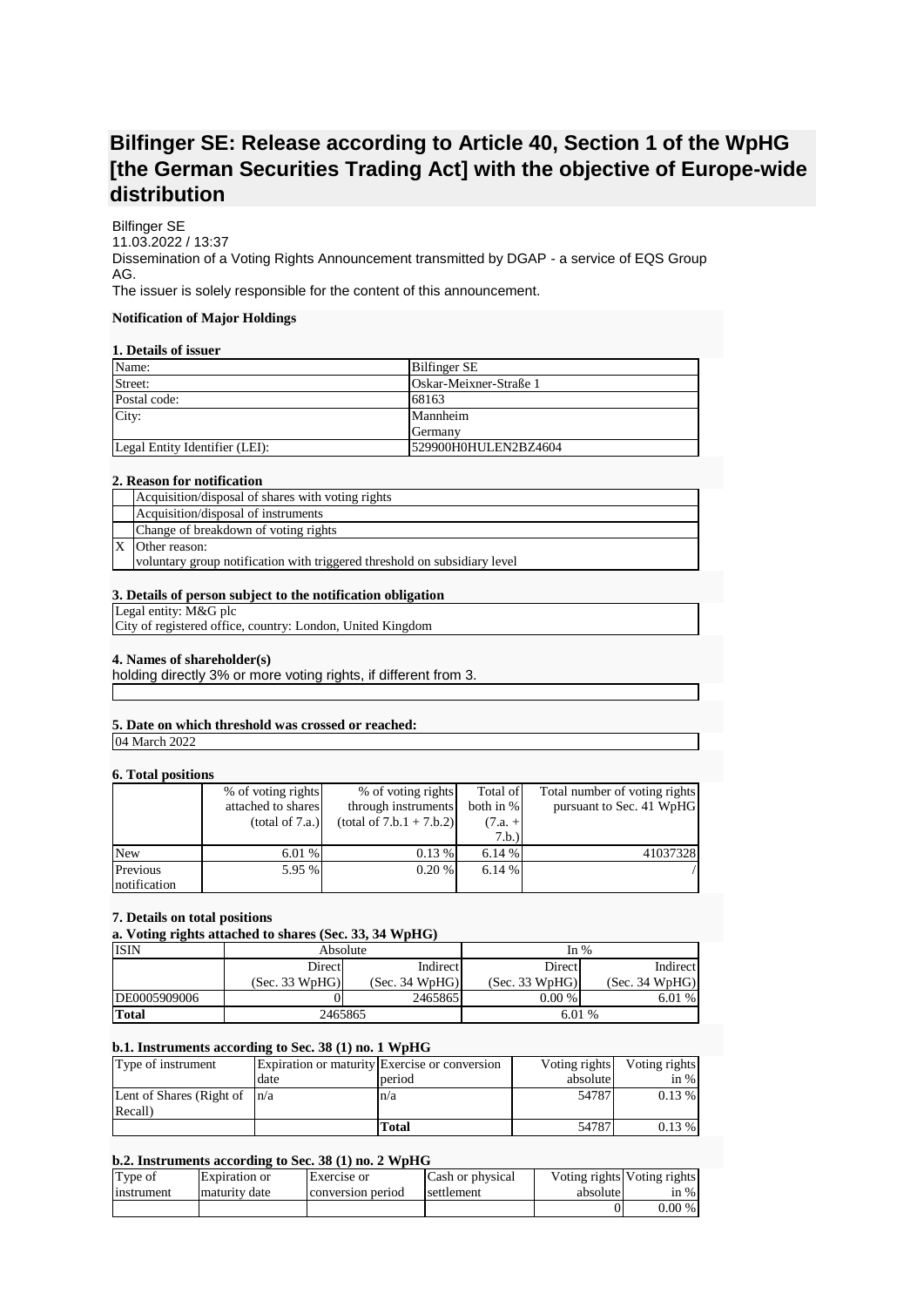# **Bilfinger SE: Release according to Article 40, Section 1 of the WpHG [the German Securities Trading Act] with the objective of Europe-wide distribution**

Bilfinger SE 11.03.2022 / 13:37 Dissemination of a Voting Rights Announcement transmitted by DGAP - a service of EQS Group AG. The issuer is solely responsible for the content of this announcement.

# **Notification of Major Holdings**

# **1. Details of issuer**

| Name:                          | <b>Bilfinger SE</b>    |
|--------------------------------|------------------------|
| Street:                        | Oskar-Meixner-Straße 1 |
| Postal code:                   | 68163                  |
| City:                          | Mannheim               |
|                                | <b>S</b> Cermany       |
| Legal Entity Identifier (LEI): | 529900H0HULEN2BZ4604   |

## **2. Reason for notification**

| Acquisition/disposal of shares with voting rights                         |
|---------------------------------------------------------------------------|
| Acquisition/disposal of instruments                                       |
| Change of breakdown of voting rights                                      |
| Other reason:                                                             |
| voluntary group notification with triggered threshold on subsidiary level |

## **3. Details of person subject to the notification obligation**

Legal entity: M&G plc

City of registered office, country: London, United Kingdom

## **4. Names of shareholder(s)**

holding directly 3% or more voting rights, if different from 3.

## **5. Date on which threshold was crossed or reached:**

04 March 2022

## **6. Total positions**

| .            |                    |                            |           |                               |
|--------------|--------------------|----------------------------|-----------|-------------------------------|
|              | % of voting rights | % of voting rights         | Total of  | Total number of voting rights |
|              | attached to shares | through instruments        | both in % | pursuant to Sec. 41 WpHG      |
|              | (total of 7.a.)    | $(total of 7.b.1 + 7.b.2)$ | $(7.a. +$ |                               |
|              |                    |                            | 7.b.)     |                               |
| <b>New</b>   | 6.01%              | 0.13%                      | 6.14 %    | 41037328                      |
| Previous     | 5.95 %             | 0.20%                      | 6.14%     |                               |
| notification |                    |                            |           |                               |

#### **7. Details on total positions**

## **a. Voting rights attached to shares (Sec. 33, 34 WpHG)**

| <b>ISIN</b>  | Absolute       |                | In $%$         |                |
|--------------|----------------|----------------|----------------|----------------|
|              | Direct         | Indirect       | Direct         | Indirect       |
|              | (Sec. 33 WpHG) | (Sec. 34 WpHG) | (Sec. 33 WpHG) | (Sec. 34 WpHG) |
| DE0005909006 |                | 2465865        | 0.00%          | 6.01%          |
| <b>Total</b> | 2465865        |                | 6.01 %         |                |

## **b.1. Instruments according to Sec. 38 (1) no. 1 WpHG**

| Type of instrument               |      | Expiration or maturity Exercise or conversion | Voting rights | Voting rights |
|----------------------------------|------|-----------------------------------------------|---------------|---------------|
|                                  | date | period                                        | absolute      | in $%$        |
| Lent of Shares (Right of $ n/a $ |      | n/a                                           | 54787         | 0.13%         |
| Recall)                          |      |                                               |               |               |
|                                  |      | Total                                         | 54787         | $0.13\%$      |

## **b.2. Instruments according to Sec. 38 (1) no. 2 WpHG**

| Type of    | Expiration or | Exercise or       | Cash or physical | absolute | Voting rights Voting rights |
|------------|---------------|-------------------|------------------|----------|-----------------------------|
| instrument | maturity date | conversion period | settlement       |          | in $%$                      |
|            |               |                   |                  |          | $0.00\%$                    |